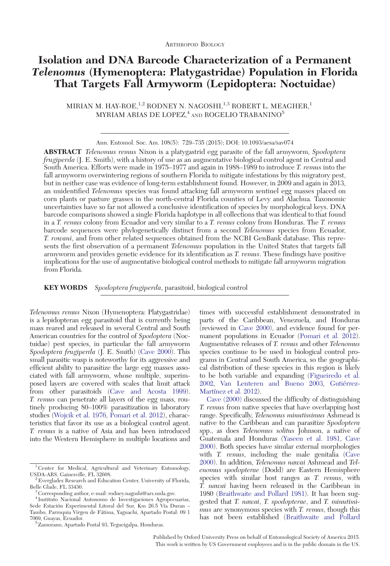# Isolation and DNA Barcode Characterization of a Permanent Telenomus (Hymenoptera: Platygastridae) Population in Florida That Targets Fall Armyworm (Lepidoptera: Noctuidae)

MIRIAN M. HAY-ROE,  $1,2$  RODNEY N. NAGOSHI,  $1,3$  ROBERT L. MEAGHER,<sup>1</sup> MYRIAM ARIAS DE LOPEZ, $4$  and ROGELIO TRABANINO<sup>5</sup>

Ann. Entomol. Soc. Am. 108(5): 729–735 (2015); DOI: 10.1093/aesa/sav074

ABSTRACT Telenomus remus Nixon is a platygastrid egg parasite of the fall armyworm, Spodoptera frugiperda (J. E. Smith), with a history of use as an augmentative biological control agent in Central and South America. Efforts were made in 1975–1977 and again in 1988–1989 to introduce T. remus into the fall armyworm overwintering regions of southern Florida to mitigate infestations by this migratory pest, but in neither case was evidence of long-term establishment found. However, in 2009 and again in 2013, an unidentified Telenomus species was found attacking fall armyworm sentinel egg masses placed on corn plants or pasture grasses in the north-central Florida counties of Levy and Alachua. Taxonomic uncertainties have so far not allowed a conclusive identification of species by morphological keys. DNA barcode comparisons showed a single Florida haplotype in all collections that was identical to that found in a T. remus colony from Ecuador and very similar to a T. remus colony from Honduras. The T. remus barcode sequences were phylogenetically distinct from a second Telenomus species from Ecuador, T. rowani, and from other related sequences obtained from the NCBI GenBank database. This represents the first observation of a permanent Telenomus population in the United States that targets fall armyworm and provides genetic evidence for its identification as T. remus. These findings have positive implications for the use of augmentative biological control methods to mitigate fall armyworm migration from Florida.

**KEY WORDS** Spodoptera frugiperda, parasitoid, biological control

Telenomus remus Nixon (Hymenoptera: Platygastridae) is a lepidopteran egg parasitoid that is currently being mass reared and released in several Central and South American countries for the control of Spodoptera (Noctuidae) pest species, in particular the fall armyworm Spodoptera frugiperda (J. E. Smith) [\(Cave 2000](#page-6-0)). This small parasitic wasp is noteworthy for its aggressive and efficient ability to parasitize the large egg masses associated with fall armyworm, whose multiple, superimposed layers are covered with scales that limit attack from other parasitoids ([Cave and Acosta 1999](#page-6-0)). T. remus can penetrate all layers of the egg mass, routinely producing 80–100% parasitization in laboratory studies ([Wojcik et al. 1976,](#page-6-0) [Pomari et al. 2012\)](#page-6-0), characteristics that favor its use as a biological control agent. T. remus is a native of Asia and has been introduced into the Western Hemisphere in multiple locations and

<sup>5</sup> Zamorano, Apartado Postal 93, Tegucigalpa, Honduras.

times with successful establishment demonstrated in parts of the Caribbean, Venezuela, and Honduras (reviewed in [Cave 2000\)](#page-6-0), and evidence found for permanent populations in Ecuador ([Pomari et al. 2012](#page-6-0)). Augmentative releases of T. remus and other Telenomus species continue to be used in biological control programs in Central and South America, so the geographical distribution of these species in this region is likely to be both variable and expanding [\(Figueiredo et al.](#page-6-0) [2002](#page-6-0), [Van Lenteren and Bueno 2003](#page-6-0), Gutiérrez-Martínez et al. 2012).

[Cave \(2000\)](#page-6-0) discussed the difficulty of distinguishing T. remus from native species that have overlapping host range. Specifically, Telenomus minutissimus Ashmead is native to the Caribbean and can parasitize Spodoptera spp., as does Telenomus solitus Johnson, a native of Guatemala and Honduras [\(Yaseen et al. 1981,](#page-6-0) [Cave](#page-6-0) [2000](#page-6-0)). Both species have similar external morphologies with *T. remus*, including the male genitalia ([Cave](#page-6-0) [2000](#page-6-0)). In addition, Telenomus nawai Ashmead and Telenomus spodopterae (Dodd) are Eastern Hemisphere species with similar host ranges as T. remus, with T. nawai having been released in the Caribbean in 1980 [\(Braithwaite and Pollard 1981\)](#page-6-0). It has been suggested that T. nawai, T. spodopterae, and T. minutissimus are synonymous species with T. remus, though this has not been established [\(Braithwaite and Pollard](#page-6-0)

Published by Oxford University Press on behalf of Entomological Society of America 2015. This work is written by US Government employees and is in the public domain in the US.

 $^{\rm 1}$  Center for Medical, Agricultural and Veterinary Entomology, USDA-ARS, Gainesville, FL 32608.

 $^2$  Everglades Research and Education Center, University of Florida, Belle Glade, FL 33430.

 $B$  Corresponding author, e-mail: rodney.nagoshi@ars.usda.gov.

<sup>4</sup> Instituto Nacional Autonomo de Investigaciones Agropecuarias, Sede Estación Experimental Litoral del Sur, Km 26.5 Vía Duran -Tambo, Parroquia Virgen de Fátima, Yaguachi, Apartado Postal: 09 1<br>7069, Guayas, Ecuador.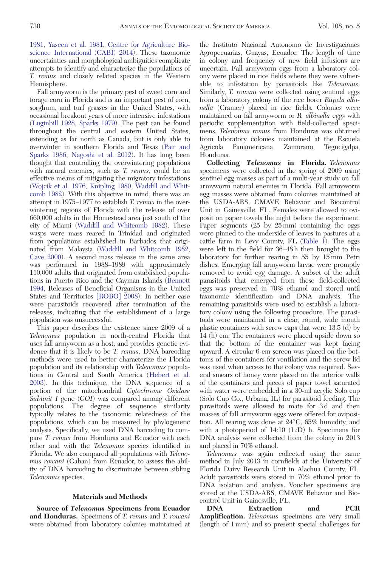[1981](#page-6-0), [Yaseen et al. 1981,](#page-6-0) [Centre for Agriculture Bio](#page-6-0)[science International \(CABI\) 2014\)](#page-6-0). These taxonomic uncertainties and morphological ambiguities complicate attempts to identify and characterize the populations of T. remus and closely related species in the Western Hemisphere.

Fall armyworm is the primary pest of sweet corn and forage corn in Florida and is an important pest of corn, sorghum, and turf grasses in the United States, with occasional breakout years of more intensive infestations ([Luginbill 1928,](#page-6-0) [Sparks 1979](#page-6-0)). The pest can be found throughout the central and eastern United States, extending as far north as Canada, but is only able to overwinter in southern Florida and Texas [\(Pair and](#page-6-0) [Sparks 1986](#page-6-0), [Nagoshi et al. 2012\)](#page-6-0). It has long been thought that controlling the overwintering populations with natural enemies, such as T. remus, could be an effective means of mitigating the migratory infestations ([Wojcik et al. 1976](#page-6-0), [Knipling 1980](#page-6-0), [Waddill and Whit](#page-6-0)[comb 1982\)](#page-6-0). With this objective in mind, there was an attempt in 1975–1977 to establish T. remus in the overwintering regions of Florida with the release of over 660,000 adults in the Homestead area just south of the city of Miami [\(Waddill and Whitcomb 1982\)](#page-6-0). These wasps were mass reared in Trinidad and originated from populations established in Barbados that originated from Malaysia [\(Waddill and Whitcomb 1982](#page-6-0), [Cave 2000\)](#page-6-0). A second mass release in the same area was performed in 1988–1989 with approximately 110,000 adults that originated from established populations in Puerto Rico and the Cayman Islands [\(Bennett](#page-6-0) [1994](#page-6-0), Releases of Beneficial Organisms in the United States and Territories [\[ROBO\] 2008](#page-6-0)). In neither case were parasitoids recovered after termination of the releases, indicating that the establishment of a large population was unsuccessful.

This paper describes the existence since 2009 of a Telenomus population in north-central Florida that uses fall armyworm as a host, and provides genetic evidence that it is likely to be T. remus. DNA barcoding methods were used to better characterize the Florida population and its relationship with Telenomus populations in Central and South America [\(Hebert et al.](#page-6-0) [2003](#page-6-0)). In this technique, the DNA sequence of a portion of the mitochondrial Cytochrome Oxidase Subunit I gene (COI) was compared among different populations. The degree of sequence similarity typically relates to the taxonomic relatedness of the populations, which can be measured by phylogenetic analysis. Specifically, we used DNA barcoding to compare T. remus from Honduras and Ecuador with each other and with the Telenomus species identified in Florida. We also compared all populations with Telenomus rowani (Gahan) from Ecuador, to assess the ability of DNA barcoding to discriminate between sibling Telenomus species.

## Materials and Methods

Source of Telenomus Specimens from Ecuador and Honduras. Specimens of T. remus and T. rowani were obtained from laboratory colonies maintained at the Instituto Nacional Autonomo de Investigaciones Agropecuarias, Guayas, Ecuador. The length of time in colony and frequency of new field infusions are uncertain. Fall armyworm eggs from a laboratory colony were placed in rice fields where they were vulnerable to infestation by parasitoids like Telenomus. Similarly, T. rowani were collected using sentinel eggs from a laboratory colony of the rice borer Rupela albinella (Cramer) placed in rice fields. Colonies were maintained on fall armyworm or R. albinella eggs with periodic supplementation with field-collected specimens. Telenomus remus from Honduras was obtained from laboratory colonies maintained at the Escuela<br>Agricola - Panamericana, - Zamorano, - Tegucigalpa, Agricola Panamericana, Zamorano, Tegucigalpa, Honduras.

Collecting Telenomus in Florida. Telenomus specimens were collected in the spring of 2009 using sentinel egg masses as part of a multi-year study on fall armyworm natural enemies in Florida. Fall armyworm egg masses were obtained from colonies maintained at the USDA-ARS, CMAVE Behavior and Biocontrol Unit in Gainesville, FL. Females were allowed to oviposit on paper towels the night before the experiment. Paper segments (25 by 25 mm) containing the eggs were pinned to the underside of leaves in pastures at a cattle farm in Levy County, FL [\(Table 1\)](#page-2-0). The eggs were left in the field for 36–48 h then brought to the laboratory for further rearing in 55 by 15 mm Petri dishes. Emerging fall armyworm larvae were promptly removed to avoid egg damage. A subset of the adult parasitoids that emerged from these field-collected eggs was preserved in 70% ethanol and stored until taxonomic identification and DNA analysis. The remaining parasitoids were used to establish a laboratory colony using the following procedure. The parasitoids were maintained in a clear, round, wide mouth plastic containers with screw caps that were 13.5 (d) by 14 (h) cm. The containers were placed upside down so that the bottom of the container was kept facing upward. A circular 6-cm screen was placed on the bottoms of the containers for ventilation and the screw lid was used when access to the colony was required. Several smears of honey were placed on the interior walls of the containers and pieces of paper towel saturated with water were embedded in a 30-ml acrylic Solo cup (Solo Cup Co., Urbana, IL) for parasitoid feeding. The parasitoids were allowed to mate for 3d and then masses of fall armyworm eggs were offered for oviposition. All rearing was done at 24°C, 65% humidity, and with a photoperiod of 14:10 (L:D) h. Specimens for DNA analysis were collected from the colony in 2013 and placed in 70% ethanol.

Telenomus was again collected using the same method in July 2013 in cornfields at the University of Florida Dairy Research Unit in Alachua County, FL. Adult parasitoids were stored in 70% ethanol prior to DNA isolation and analysis. Voucher specimens are stored at the USDA-ARS, CMAVE Behavior and Biocontrol Unit in Gainesville, FL.

DNA Extraction and PCR **Amplification.** Telenomus specimens are very small (length of 1 mm) and so present special challenges for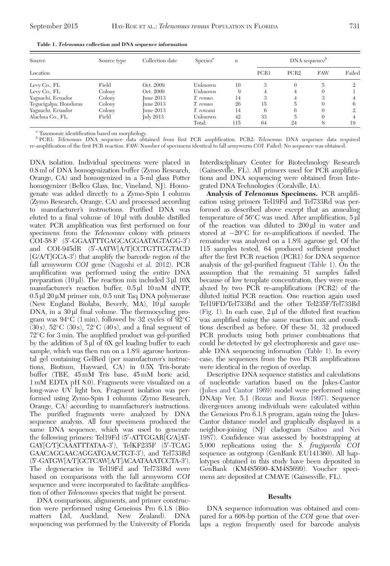| Source                | Source type | Collection date | $S$ pecies <sup><math>a</math></sup> | $\boldsymbol{n}$ | $DNA$ sequence <sup><math>b</math></sup> |                  |            |        |
|-----------------------|-------------|-----------------|--------------------------------------|------------------|------------------------------------------|------------------|------------|--------|
| Location              |             |                 |                                      |                  | PCR1                                     | PCR <sub>2</sub> | <b>FAW</b> | Failed |
| Levy Co., FL          | Field       | Oct. 2009       | Unknown                              | 10               | 3                                        | $\theta$         | 5          | 2      |
| Levy Co., FL          | Colony      | Oct. 2009       | Unknown                              | 9                | 4                                        | 4                | $\Omega$   |        |
| Yaguachi, Ecuador     | Colony      | June 2013       | T. remus                             | 14               |                                          | 4                | 3          |        |
| Tegucigalpa, Honduras | Colony      | Iune 2013       | T. remus                             | 26               | 15                                       | 5                | $\Omega$   | 6      |
| Yaguachi, Ecuador     | Colony      | Iune 2013       | T. rowani                            | 14               | 6                                        | 6                | $\Omega$   |        |
| Alachua Co., FL       | Field       | July 2013       | Unknown                              | 42               | 33                                       | 5                | $\Omega$   |        |
|                       |             |                 | Total:                               | 115              | 64                                       | 24               | 8          | 19     |

<span id="page-2-0"></span>Table 1. Telenomus collection and DNA sequence information

<sup>a</sup> Taxonomic identification based on morphology.

 $b$  PCR1: Telenomus DNA sequence data obtained from first PCR amplification. PCR2: Telenomus DNA sequence data required re-amplification of the first PCR reaction. FAW: Number of specimens identical to fall armyworm COI. Failed: No sequence was obtained.

DNA isolation. Individual specimens were placed in 0.8 ml of DNA homogenization buffer (Zymo Research, Orange, CA) and homogenized in a 5-ml glass Potter homogenizer (Bellco Glass, Inc, Vineland, NJ). Homogenate was added directly to a Zymo-Spin I column (Zymo Research, Orange, CA) and processed according to manufacturer's instructions. Purified DNA was eluted to a final volume of  $10 \mu l$  with double distilled water. PCR amplification was first performed on four specimens from the Telenomus colony with primers COI-58 F (5'-GGAATTTGAGCAGGAATAGTAGG-3') and COI-945dR (5'-AATW[A/T]CCTGTTGGTACD [G/A/T]GCA-3') that amplify the barcode region of the fall armyworm COI gene [\(Nagoshi et al. 2012\)](#page-6-0). PCR amplification was performed using the entire DNA preparation (10  $\mu$ ). The reaction mix included 3  $\mu$ l 10X manufacturer's reaction buffer,  $0.5 \mu l$  10 mM dNTP,  $0.5 \mu$ l  $20 \mu$ M primer mix,  $0.5 \mu$  unit Taq DNA polymerase (New England Biolabs, Beverly, MA), 10 µl sample  $DNA$ , in a  $30 \mu l$  final volume. The thermocycling program was  $94^{\circ}$ C (1 min), followed by 32 cycles of  $92^{\circ}$ C  $(30 s)$ , 52°C (30s), 72°C (40s), and a final segment of 72-C for 3 min. The amplified product was gel-purified by the addition of  $5 \mu$ l of  $6X$  gel loading buffer to each sample, which was then run on a 1.8% agarose horizontal gel containing GelRed (per manufacturer's instructions, Biotium, Hayward, CA) in 0.5X Tris-borate buffer (TBE, 45 mM Tris base, 45 mM boric acid, 1 mM EDTA pH 8.0). Fragments were visualized on a long-wave UV light box. Fragment isolation was performed using Zymo-Spin I columns (Zymo Research, Orange, CA) according to manufacturer's instructions. The purified fragments were analyzed by DNA sequence analysis. All four specimens produced the same DNA sequence, which was used to generate the following primers: Tel19Fd (5'-ATTGGAR[G/A]AT-GAY[C/T]CAAATTTATAA-3'), TelKF235F (5'-TCAG GAACAGGAACAGGATGAACTGT-3'), and Tel733Rd (5'-GATGW[A/T]GCTCAW[A/T]ACAATAAATCCTA-3'). The degeneracies in Tel19Fd and Tel733Rd were based on comparisons with the fall armyworm COI sequence and were incorporated to facilitate amplification of other Telenomus species that might be present.

DNA comparisons, alignments, and primer construction were performed using Geneious Pro 6.1.8 (Biomatters Ltd, Auckland, New Zealand). DNA sequencing was performed by the University of Florida Interdisciplinary Center for Biotechnology Research (Gainesville, FL). All primers used for PCR amplifications and DNA sequencing were obtained from Integrated DNA Technologies (Coralville, IA).

Analysis of Telenomus Specimens. PCR amplification using primers Tel19Fd and Tel733Rd was performed as described above except that an annealing temperature of 56°C was used. After amplification, 5 µl of the reaction was diluted to  $200 \mu l$  in water and stored at  $-20^{\circ}$ C for re-amplifications if needed. The remainder was analyzed on a 1.8% agarose gel. Of the 115 samples tested, 64 produced sufficient product after the first PCR reaction (PCR1) for DNA sequence analysis of the gel-purified fragment (Table 1). On the assumption that the remaining 51 samples failed because of low template concentration, they were reanalyzed by two PCR re-amplifications (PCR2) of the diluted initial PCR reaction. One reaction again used Tel19FD/Tel733Rd and the other Tel235F/Tel733Rd [\(Fig. 1](#page-3-0)). In each case,  $2 \mu l$  of the diluted first reaction was amplified using the same reaction mix and conditions described as before. Of these 51, 32 produced PCR products using both primer combinations that could be detected by gel electrophoresis and gave useable DNA sequencing information (Table 1). In every case, the sequences from the two PCR amplifications were identical in the region of overlap.

Descriptive DNA sequence statistics and calculations of nucleotide variation based on the Jukes-Cantor [\(Jukes and Cantor 1969](#page-6-0)) model were performed using DNAsp Ver. 5.1 [\(Rozas and Rozas 1997\)](#page-6-0). Sequence divergences among individuals were calculated within the Geneious Pro 6.1.8 program, again using the Jukes-Cantor distance model and graphically displayed in a neighbor-joining (NJ) cladogram ([Saitou and Nei](#page-6-0) [1987](#page-6-0)). Confidence was assessed by bootstrapping at 5,000 replications using the S. frugiperda COI sequence as outgroup (GenBank EU141360). All haplotypes obtained in this study have been deposited in GenBank (KM485690–KM485699). Voucher specimens are deposited at CMAVE (Gainesville, FL).

#### Results

DNA sequence information was obtained and compared for a 608-bp portion of the COI gene that overlaps a region frequently used for barcode analysis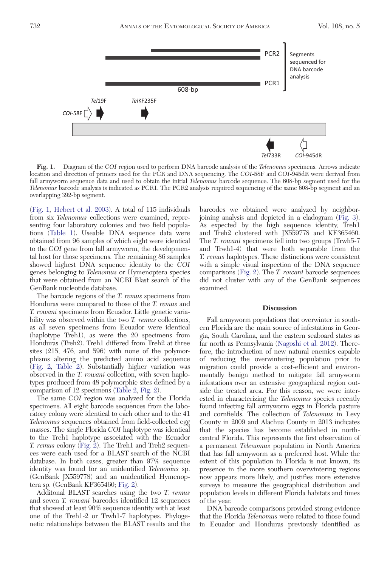<span id="page-3-0"></span>

Fig. 1. Diagram of the COI region used to perform DNA barcode analysis of the Telenomus specimens. Arrows indicate location and direction of primers used for the PCR and DNA sequencing. The COI-58F and COI-945dR were derived from fall armyworm sequence data and used to obtain the initial Telenomus barcode sequence. The 608-bp segment used for the Telenomus barcode analysis is indicated as PCR1. The PCR2 analysis required sequencing of the same 608-bp segment and an overlapping 392-bp segment.

(Fig. 1, [Hebert et al. 2003\)](#page-6-0). A total of 115 individuals from six Telenomus collections were examined, representing four laboratory colonies and two field populations [\(Table 1](#page-2-0)). Useable DNA sequence data were obtained from 96 samples of which eight were identical to the COI gene from fall armyworm, the developmental host for those specimens. The remaining 86 samples showed highest DNA sequence identity to the COI genes belonging to Telenomus or Hymenoptera species that were obtained from an NCBI Blast search of the GenBank nucleotide database.

The barcode regions of the T. remus specimens from Honduras were compared to those of the T. remus and T. rowani specimens from Ecuador. Little genetic variability was observed within the two T. remus collections, as all seven specimens from Ecuador were identical (haplotype Treh1), as were the 20 specimens from Honduras (Treh2). Treh1 differed from Treh2 at three sites (215, 476, and 596) with none of the polymorphisms altering the predicted amino acid sequence ([Fig. 2](#page-4-0), [Table 2](#page-4-0)). Substantially higher variation was observed in the T. rowani collection, with seven haplotypes produced from 48 polymorphic sites defined by a comparison of 12 specimens ([Table 2,](#page-4-0) [Fig. 2](#page-4-0)).

The same COI region was analyzed for the Florida specimens. All eight barcode sequences from the laboratory colony were identical to each other and to the 41 Telenomus sequences obtained from field-collected egg masses. The single Florida COI haplotype was identical to the Treh1 haplotype associated with the Ecuador T. remus colony [\(Fig. 2\)](#page-4-0). The Treh1 and Treh2 sequences were each used for a BLAST search of the NCBI database. In both cases, greater than 97% sequence identity was found for an unidentified Telenomus sp. (GenBank JX559778) and an unidentified Hymenoptera sp. (GenBank KF365460; [Fig. 2](#page-4-0)).

Additonal BLAST searches using the two T. remus and seven T. rowani barcodes identified 12 sequences that showed at least 90% sequence identity with at least one of the Treh1-2 or Trwh1-7 haplotypes. Phylogenetic relationships between the BLAST results and the

barcodes we obtained were analyzed by neighborjoining analysis and depicted in a cladogram ([Fig. 3](#page-5-0)). As expected by the high sequence identity, Treh1 and Treh2 clustered with JX559778 and KF365460. The T. rowani specimens fell into two groups (Trwh5-7 and Trwh1-4) that were both separable from the T. remus haplotypes. These distinctions were consistent with a simple visual inspection of the DNA sequence comparisons [\(Fig. 2\)](#page-4-0). The T. rowani barcode sequences did not cluster with any of the GenBank sequences examined.

#### **Discussion**

Fall armyworm populations that overwinter in southern Florida are the main source of infestations in Georgia, South Carolina, and the eastern seaboard states as far north as Pennsylvania ([Nagoshi et al. 2012](#page-6-0)). Therefore, the introduction of new natural enemies capable of reducing the overwintering population prior to migration could provide a cost-efficient and environmentally benign method to mitigate fall armyworm infestations over an extensive geographical region outside the treated area. For this reason, we were interested in characterizing the Telenomus species recently found infecting fall armyworm eggs in Florida pasture and cornfields. The collection of Telenomus in Levy County in 2009 and Alachua County in 2013 indicates that the species has become established in northcentral Florida. This represents the first observation of a permanent Telenomus population in North America that has fall armyworm as a preferred host. While the extent of this population in Florida is not known, its presence in the more southern overwintering regions now appears more likely, and justifies more extensive surveys to measure the geographical distribution and population levels in different Florida habitats and times of the year.

DNA barcode comparisons provided strong evidence that the Florida Telenomus were related to those found in Ecuador and Honduras previously identified as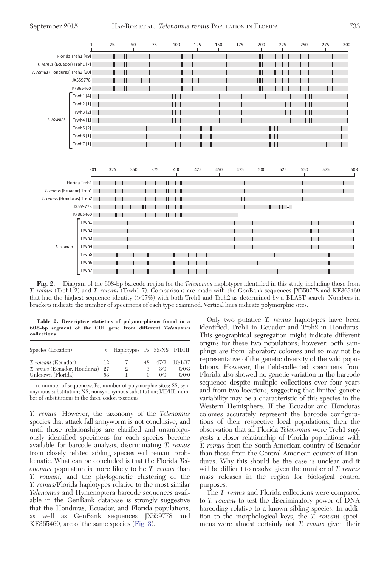<span id="page-4-0"></span>

Fig. 2. Diagram of the 608-bp barcode region for the Telenomus haplotypes identified in this study, including those from T. remus (Treh1-2) and T. rowani (Trwh1-7). Comparisons are made with the GenBank sequences JX559778 and KF365460 that had the highest sequence identity (>97%) with both Treh1 and Treh2 as determined by a BLAST search. Numbers in brackets indicate the number of specimens of each type examined. Vertical lines indicate polymorphic sites.

Table 2. Descriptive statistics of polymorphisms found in a 608-bp segment of the COI gene from different Telenomus collections

| Species (Location)           | $\mathfrak n$ | Haplotypes Ps SS/NS I/II/III |    |       |         |
|------------------------------|---------------|------------------------------|----|-------|---------|
| <i>T. rowani</i> (Ecuador)   | 12            |                              | 48 | 47/9. | 10/1/37 |
| T. remus (Ecuador, Honduras) | 27            | 9.                           |    | 3/0   | 0/0/3   |
| Unknown (Florida)            | 53            |                              |    | 0/0   | 0/0/0   |

n, number of sequences; Ps, number of polymorphic sites; SS, synonymous substitution; NS, nonsynonymous substitution; I/II/III, number of substitutions in the three codon positions.

T. remus. However, the taxonomy of the Telenomus species that attack fall armyworm is not conclusive, and until those relationships are clarified and unambiguously identified specimens for each species become available for barcode analysis, discriminating T. remus from closely related sibling species will remain problematic. What can be concluded is that the Florida Telenomus population is more likely to be T. remus than T. rowani, and the phylogenetic clustering of the T. remus/Florida haplotypes relative to the most similar Telenomus and Hymenoptera barcode sequences available in the GenBank database is strongly suggestive that the Honduras, Ecuador, and Florida populations, as well as GenBank sequences JX559778 and KF365460, are of the same species [\(Fig. 3](#page-5-0)).

Only two putative T. remus haplotypes have been identified, Treh1 in Ecuador and Treh2 in Honduras. This geographical segregation might indicate different origins for these two populations; however, both samplings are from laboratory colonies and so may not be representative of the genetic diversity of the wild populations. However, the field-collected specimens from Florida also showed no genetic variation in the barcode sequence despite multiple collections over four years and from two locations, suggesting that limited genetic variability may be a characteristic of this species in the Western Hemisphere. If the Ecuador and Honduras colonies accurately represent the barcode configurations of their respective local populations, then the observation that all Florida Telenomus were Treh1 suggests a closer relationship of Florida populations with T. remus from the South American country of Ecuador than those from the Central American country of Honduras. Why this should be the case is unclear and it will be difficult to resolve given the number of T. remus mass releases in the region for biological control purposes.

The T. remus and Florida collections were compared to T. rowani to test the discriminatory power of DNA barcoding relative to a known sibling species. In addition to the morphological keys, the  $\overrightarrow{T}$  rowani specimens were almost certainly not T. remus given their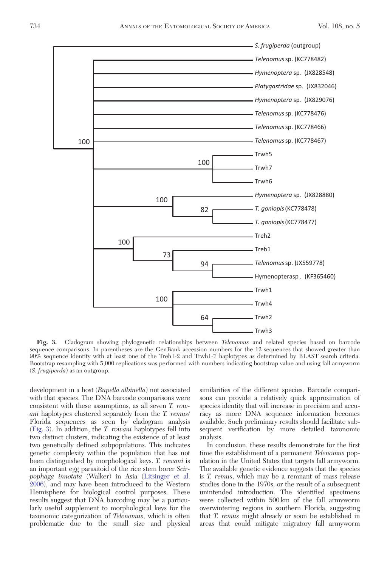<span id="page-5-0"></span>

Fig. 3. Cladogram showing phylogenetic relationships between Telenomus and related species based on barcode sequence comparisons. In parentheses are the GenBank accession numbers for the 12 sequences that showed greater than 90% sequence identity with at least one of the Treh1-2 and Trwh1-7 haplotypes as determined by BLAST search criteria. Bootstrap resampling with 5,000 replications was performed with numbers indicating bootstrap value and using fall armyworm (S. frugiperda) as an outgroup.

development in a host (Rupella albinella) not associated with that species. The DNA barcode comparisons were consistent with these assumptions, as all seven T. rowani haplotypes clustered separately from the T. remus/ Florida sequences as seen by cladogram analysis (Fig. 3). In addition, the T. rowani haplotypes fell into two distinct clusters, indicating the existence of at least two genetically defined subpopulations. This indicates genetic complexity within the population that has not been distinguished by morphological keys. T. rowani is an important egg parasitoid of the rice stem borer Scirpophaga innotata (Walker) in Asia ([Litsinger et al.](#page-6-0) [2006](#page-6-0)), and may have been introduced to the Western Hemisphere for biological control purposes. These results suggest that DNA barcoding may be a particularly useful supplement to morphological keys for the taxonomic categorization of Telenomus, which is often problematic due to the small size and physical similarities of the different species. Barcode comparisons can provide a relatively quick approximation of species identity that will increase in precision and accuracy as more DNA sequence information becomes available. Such preliminary results should facilitate subsequent verification by more detailed taxonomic analysis.

In conclusion, these results demonstrate for the first time the establishment of a permanent *Telenomus* population in the United States that targets fall armyworm. The available genetic evidence suggests that the species is T. remus, which may be a remnant of mass release studies done in the 1970s, or the result of a subsequent unintended introduction. The identified specimens were collected within 500 km of the fall armyworm overwintering regions in southern Florida, suggesting that T. remus might already or soon be established in areas that could mitigate migratory fall armyworm